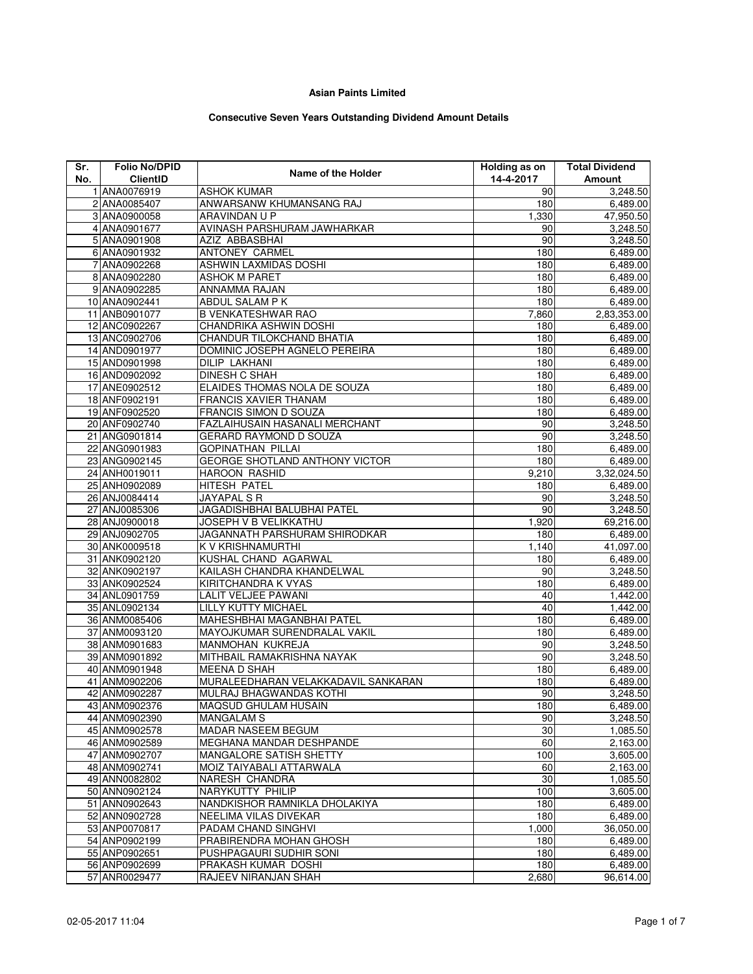## **Asian Paints Limited**

## **Consecutive Seven Years Outstanding Dividend Amount Details**

| Sr. | <b>Folio No/DPID</b> | Name of the Holder                  | <b>Holding as on</b> | <b>Total Dividend</b> |
|-----|----------------------|-------------------------------------|----------------------|-----------------------|
| No. | <b>ClientID</b>      |                                     | 14-4-2017            | Amount                |
|     | 1 ANA0076919         | <b>ASHOK KUMAR</b>                  | 90                   | 3,248.50              |
|     | 2 ANA0085407         | ANWARSANW KHUMANSANG RAJ            | 180                  | 6,489.00              |
|     | 3 ANA0900058         | ARAVINDAN U P                       | 1,330                | 47,950.50             |
|     | 4 ANA0901677         | AVINASH PARSHURAM JAWHARKAR         | 90                   | 3,248.50              |
|     | 5 ANA0901908         | AZIZ ABBASBHAI                      | 90                   | 3,248.50              |
|     | 6 ANA0901932         | ANTONEY CARMEL                      | 180                  | 6,489.00              |
|     | 7 ANA0902268         | ASHWIN LAXMIDAS DOSHI               | 180                  | 6,489.00              |
|     | 8 ANA0902280         | <b>ASHOK M PARET</b>                | 180                  | 6,489.00              |
|     | 9 ANA0902285         | ANNAMMA RAJAN                       | 180                  | 6,489.00              |
|     | 10 ANA0902441        | ABDUL SALAM P K                     | 180                  | 6,489.00              |
|     | 11 ANB0901077        | <b>B VENKATESHWAR RAO</b>           | 7,860                | 2,83,353.00           |
|     | 12 ANC0902267        | CHANDRIKA ASHWIN DOSHI              | 180                  | 6,489.00              |
|     | 13 ANC0902706        | CHANDUR TILOKCHAND BHATIA           | 180                  | 6,489.00              |
|     | 14 AND0901977        | DOMINIC JOSEPH AGNELO PEREIRA       | 180                  | 6,489.00              |
|     | 15 AND0901998        | <b>DILIP LAKHANI</b>                | 180                  | 6,489.00              |
|     | 16 AND0902092        | <b>DINESH C SHAH</b>                | 180                  | 6,489.00              |
|     | 17 ANE0902512        | ELAIDES THOMAS NOLA DE SOUZA        | 180                  | 6,489.00              |
|     | 18 ANF0902191        | <b>FRANCIS XAVIER THANAM</b>        | 180                  | 6,489.00              |
|     | 19 ANF0902520        | FRANCIS SIMON D SOUZA               | 180                  | 6,489.00              |
|     | 20 ANF0902740        | FAZLAIHUSAIN HASANALI MERCHANT      | 90                   | 3,248.50              |
|     | 21 ANG0901814        | GERARD RAYMOND D SOUZA              | 90                   | 3,248.50              |
|     | 22 ANG0901983        | <b>GOPINATHAN PILLAI</b>            | 180                  | 6,489.00              |
|     | 23 ANG0902145        | GEORGE SHOTLAND ANTHONY VICTOR      | 180                  | 6,489.00              |
|     | 24 ANH0019011        | <b>HAROON RASHID</b>                | 9,210                | 3,32,024.50           |
|     | 25 ANH0902089        | <b>HITESH PATEL</b>                 | 180                  | 6,489.00              |
|     | 26 ANJ0084414        | JAYAPAL S R                         | 90                   | 3,248.50              |
|     | 27 ANJ0085306        | JAGADISHBHAI BALUBHAI PATEL         | 90                   | 3,248.50              |
|     | 28 ANJ0900018        | JOSEPH V B VELIKKATHU               | 1,920                | 69,216.00             |
|     | 29 ANJ0902705        | JAGANNATH PARSHURAM SHIRODKAR       | 180                  | 6,489.00              |
|     | 30 ANK0009518        | K V KRISHNAMURTHI                   | 1,140                | 41,097.00             |
|     | 31 ANK0902120        | KUSHAL CHAND AGARWAL                | 180                  | 6,489.00              |
|     | 32 ANK0902197        | KAILASH CHANDRA KHANDELWAL          | 90                   | 3,248.50              |
|     | 33 ANK0902524        | KIRITCHANDRA K VYAS                 | 180                  | 6,489.00              |
|     | 34 ANL0901759        | LALIT VELJEE PAWANI                 | 40                   | 1,442.00              |
|     | 35 ANL0902134        | LILLY KUTTY MICHAEL                 | 40                   | 1,442.00              |
|     | 36 ANM0085406        | MAHESHBHAI MAGANBHAI PATEL          | 180                  | 6,489.00              |
|     | 37 ANM0093120        | MAYOJKUMAR SURENDRALAL VAKIL        | 180                  | 6,489.00              |
|     | 38 ANM0901683        | MANMOHAN KUKREJA                    | 90                   | 3,248.50              |
|     | 39 ANM0901892        | MITHBAIL RAMAKRISHNA NAYAK          | 90                   | 3,248.50              |
|     | 40 ANM0901948        | <b>MEENA D SHAH</b>                 | 180                  | 6,489.00              |
|     | 41 ANM0902206        | MURALEEDHARAN VELAKKADAVIL SANKARAN | 180                  | 6,489.00              |
|     | 42 ANM0902287        | MULRAJ BHAGWANDAS KOTHI             | 90                   | 3,248.50              |
|     | 43 ANM0902376        | MAQSUD GHULAM HUSAIN                | 180                  | 6,489.00              |
|     | 44 ANM0902390        | <b>MANGALAM S</b>                   | 90                   | 3,248.50              |
|     | 45 ANM0902578        | MADAR NASEEM BEGUM                  | 30                   | 1,085.50              |
|     | 46 ANM0902589        | MEGHANA MANDAR DESHPANDE            | 60                   | 2,163.00              |
|     | 47 ANM0902707        | <b>MANGALORE SATISH SHETTY</b>      | 100                  | 3,605.00              |
|     | 48 ANM0902741        | MOIZ TAIYABALI ATTARWALA            | 60                   | 2,163.00              |
|     | 49 ANN0082802        | NARESH CHANDRA                      | 30                   | 1,085.50              |
|     | 50 ANN0902124        | NARYKUTTY PHILIP                    | 100                  | 3,605.00              |
|     | 51 ANN0902643        | NANDKISHOR RAMNIKLA DHOLAKIYA       | 180                  | 6,489.00              |
|     | 52 ANN0902728        | NEELIMA VILAS DIVEKAR               | 180                  | 6,489.00              |
|     | 53 ANP0070817        | PADAM CHAND SINGHVI                 | 1,000                | 36,050.00             |
|     | 54 ANP0902199        | PRABIRENDRA MOHAN GHOSH             | 180                  | 6,489.00              |
|     | 55 ANP0902651        | PUSHPAGAURI SUDHIR SONI             | 180                  | 6,489.00              |
|     | 56 ANP0902699        | PRAKASH KUMAR DOSHI                 | 180                  | 6,489.00              |
|     | 57 ANR0029477        | RAJEEV NIRANJAN SHAH                | 2,680                | 96,614.00             |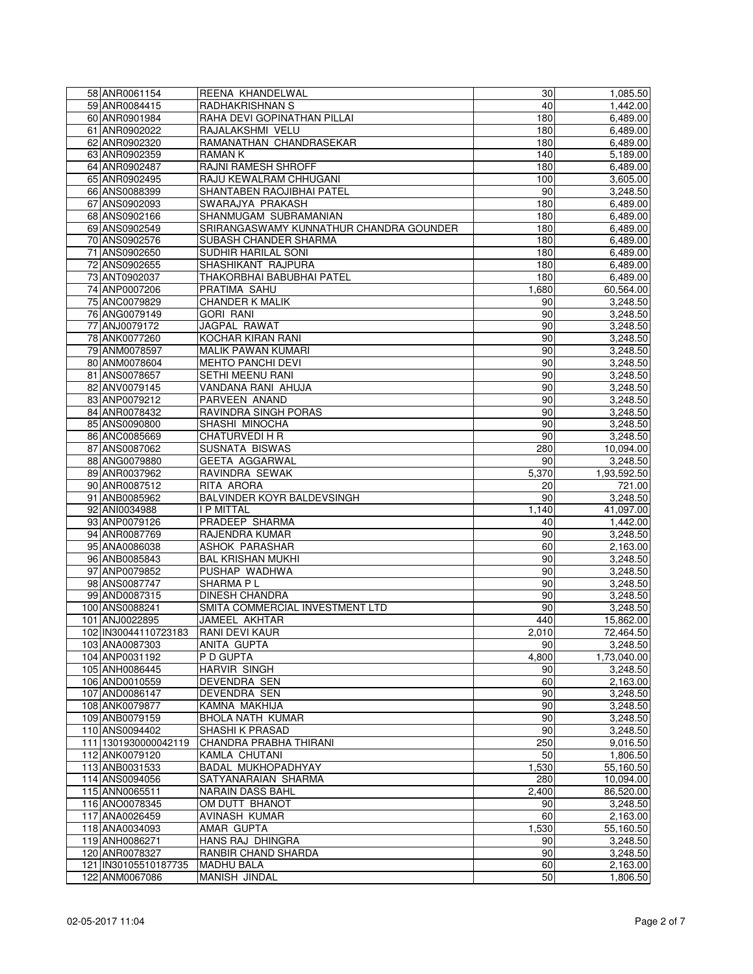| 58 ANR0061154        | REENA KHANDELWAL                        | 30    | 1,085.50    |
|----------------------|-----------------------------------------|-------|-------------|
| 59 ANR0084415        | <b>RADHAKRISHNAN S</b>                  | 40    | 1,442.00    |
| 60 ANR0901984        | RAHA DEVI GOPINATHAN PILLAI             | 180   | 6,489.00    |
| 61 ANR0902022        | RAJALAKSHMI VELU                        | 180   | 6,489.00    |
| 62 ANR0902320        | RAMANATHAN CHANDRASEKAR                 | 180   | 6,489.00    |
| 63 ANR0902359        | <b>RAMANK</b>                           | 140   | 5,189.00    |
| 64 ANR0902487        | RAJNI RAMESH SHROFF                     | 180   | 6,489.00    |
| 65 ANR0902495        | RAJU KEWALRAM CHHUGANI                  | 100   | 3,605.00    |
| 66 ANS0088399        | SHANTABEN RAOJIBHAI PATEL               | 90    | 3,248.50    |
| 67 ANS0902093        | SWARAJYA PRAKASH                        | 180   | 6,489.00    |
| 68 ANS0902166        | SHANMUGAM SUBRAMANIAN                   | 180   | 6,489.00    |
| 69 ANS0902549        | SRIRANGASWAMY KUNNATHUR CHANDRA GOUNDER | 180   | 6,489.00    |
| 70 ANS0902576        | SUBASH CHANDER SHARMA                   | 180   | 6,489.00    |
| 71 ANS0902650        | SUDHIR HARILAL SONI                     | 180   | 6,489.00    |
| 72 ANS0902655        | SHASHIKANT RAJPURA                      | 180   |             |
|                      |                                         |       | 6,489.00    |
| 73 ANT0902037        | THAKORBHAI BABUBHAI PATEL               | 180   | 6,489.00    |
| 74 ANP0007206        | PRATIMA SAHU                            | 1,680 | 60,564.00   |
| 75 ANC0079829        | CHANDER K MALIK                         | 90    | 3,248.50    |
| 76 ANG0079149        | <b>GORI RANI</b>                        | 90    | 3,248.50    |
| 77 ANJ0079172        | JAGPAL RAWAT                            | 90    | 3,248.50    |
| 78 ANK0077260        | <b>KOCHAR KIRAN RANI</b>                | 90    | 3,248.50    |
| 79 ANM0078597        | <b>MALIK PAWAN KUMARI</b>               | 90    | 3,248.50    |
| 80 ANM0078604        | MEHTO PANCHI DEVI                       | 90    | 3,248.50    |
| 81 ANS0078657        | SETHI MEENU RANI                        | 90    | 3,248.50    |
| 82 ANV0079145        | VANDANA RANI AHUJA                      | 90    | 3,248.50    |
| 83 ANP0079212        | PARVEEN ANAND                           | 90    | 3,248.50    |
| 84 ANR0078432        | RAVINDRA SINGH PORAS                    | 90    | 3,248.50    |
| 85 ANS0090800        | SHASHI MINOCHA                          | 90    | 3,248.50    |
| 86 ANC0085669        | CHATURVEDI H R                          | 90    | 3,248.50    |
| 87 ANS0087062        | SUSNATA BISWAS                          | 280   | 10,094.00   |
| 88 ANG0079880        | GEETA AGGARWAL                          | 90    | 3,248.50    |
| 89 ANR0037962        | RAVINDRA SEWAK                          | 5,370 | 1,93,592.50 |
| 90 ANR0087512        | RITA ARORA                              | 20    | 721.00      |
| 91 ANB0085962        | BALVINDER KOYR BALDEVSINGH              | 90    | 3,248.50    |
| 92 ANI0034988        | I P MITTAL                              | 1,140 | 41,097.00   |
| 93 ANP0079126        | PRADEEP SHARMA                          | 40    | 1,442.00    |
| 94 ANR0087769        | RAJENDRA KUMAR                          | 90    |             |
|                      |                                         |       | 3,248.50    |
| 95 ANA0086038        | ASHOK PARASHAR                          | 60    | 2,163.00    |
| 96 ANB0085843        | <b>BAL KRISHAN MUKHI</b>                | 90    | 3,248.50    |
| 97 ANP0079852        | PUSHAP WADHWA                           | 90    | 3,248.50    |
| 98 ANS0087747        | SHARMA P L                              | 90    | 3,248.50    |
| 99 AND0087315        | <b>DINESH CHANDRA</b>                   | 90    | 3,248.50    |
| 100 ANS0088241       | SMITA COMMERCIAL INVESTMENT LTD         | 90    | 3,248.50    |
| 101 ANJ0022895       | JAMEEL AKHTAR                           | 440   | 15,862.00   |
| 102 IN30044110723183 | RANI DEVI KAUR                          | 2,010 | 72,464.50   |
| 103 ANA0087303       | ANITA GUPTA                             | 90    | 3,248.50    |
| 104 ANP0031192       | P D GUPTA                               | 4,800 | 1,73,040.00 |
| 105 ANH0086445       | <b>HARVIR SINGH</b>                     | 90    | 3,248.50    |
| 106 AND0010559       | DEVENDRA SEN                            | 60    | 2,163.00    |
| 107 AND0086147       | <b>DEVENDRA SEN</b>                     | 90    | 3,248.50    |
| 108 ANK0079877       | KAMNA MAKHIJA                           | 90    | 3,248.50    |
| 109 ANB0079159       | BHOLA NATH KUMAR                        | 90    | 3,248.50    |
| 110 ANS0094402       | SHASHI K PRASAD                         | 90    | 3,248.50    |
| 111 1301930000042119 | CHANDRA PRABHA THIRANI                  | 250   | 9,016.50    |
| 112 ANK0079120       | KAMLA CHUTANI                           | 50    | 1,806.50    |
| 113 ANB0031533       | BADAL MUKHOPADHYAY                      | 1,530 | 55,160.50   |
| 114 ANS0094056       | SATYANARAIAN SHARMA                     | 280   | 10,094.00   |
| 115 ANN0065511       | NARAIN DASS BAHL                        | 2,400 | 86,520.00   |
|                      | OM DUTT BHANOT                          |       |             |
| 116 ANO0078345       |                                         | 90    | 3,248.50    |
| 117 ANA0026459       | AVINASH KUMAR                           | 60    | 2,163.00    |
| 118 ANA0034093       | AMAR GUPTA                              | 1,530 | 55,160.50   |
| 119 ANH0086271       | HANS RAJ DHINGRA                        | 90    | 3,248.50    |
| 120 ANR0078327       | RANBIR CHAND SHARDA                     | 90    | 3,248.50    |
| 121 IN30105510187735 | <b>MADHU BALA</b>                       | 60    | 2,163.00    |
| 122 ANM0067086       | <b>MANISH JINDAL</b>                    | 50    | 1,806.50    |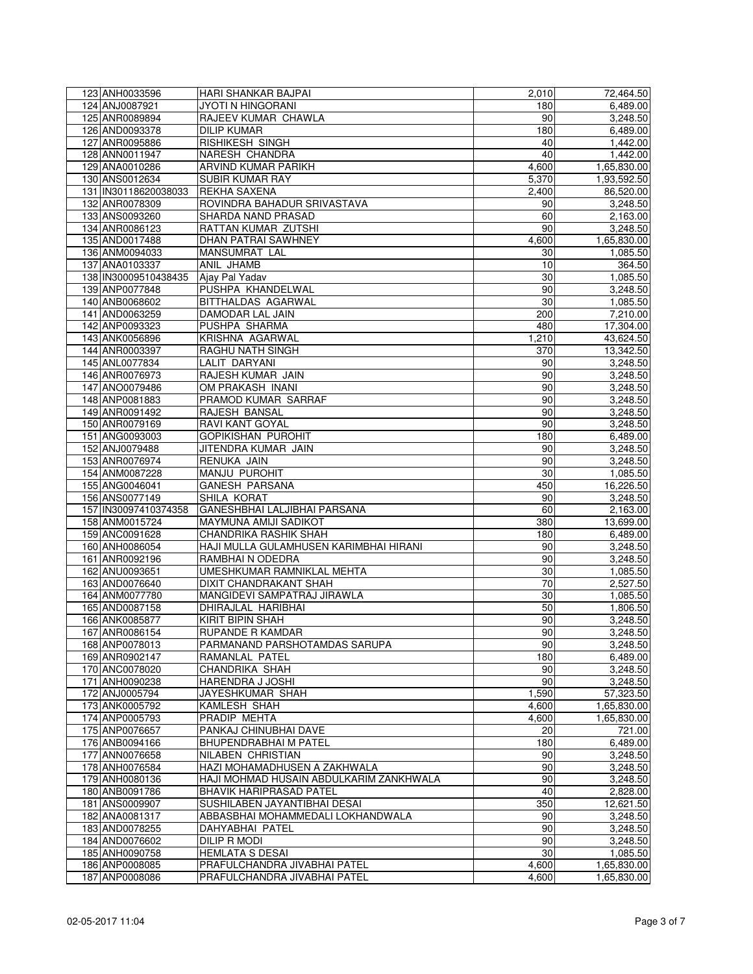| 123 ANH0033596                   | <b>HARI SHANKAR BAJPAI</b>                                                | 2,010           | 72,464.50            |
|----------------------------------|---------------------------------------------------------------------------|-----------------|----------------------|
| 124 ANJ0087921                   | <b>JYOTI N HINGORANI</b>                                                  | 180             | 6,489.00             |
| 125 ANR0089894                   | RAJEEV KUMAR CHAWLA                                                       | 90              | 3,248.50             |
| 126 AND0093378                   | <b>DILIP KUMAR</b>                                                        | 180             | 6,489.00             |
| 127 ANR0095886                   | RISHIKESH SINGH                                                           | 40              | 1,442.00             |
| 128 ANN0011947                   | NARESH CHANDRA                                                            | 40              | 1,442.00             |
| 129 ANA0010286                   | ARVIND KUMAR PARIKH                                                       | 4,600           | 1,65,830.00          |
| 130 ANS0012634                   | <b>SUBIR KUMAR RAY</b>                                                    | 5,370           | 1,93,592.50          |
| 131 IN30118620038033             | REKHA SAXENA                                                              | 2,400           | 86,520.00            |
| 132 ANR0078309                   | ROVINDRA BAHADUR SRIVASTAVA                                               | 90              | 3,248.50             |
| 133 ANS0093260                   | SHARDA NAND PRASAD                                                        | 60              | 2,163.00             |
| 134 ANR0086123                   | RATTAN KUMAR ZUTSHI                                                       | 90              | 3,248.50             |
| 135 AND0017488                   | <b>DHAN PATRAI SAWHNEY</b>                                                | 4,600           | 1,65,830.00          |
| 136 ANM0094033                   | MANSUMRAT LAL                                                             | 30              | 1,085.50             |
| 137 ANA0103337                   | ANIL JHAMB                                                                | 10              | 364.50               |
| 138 IN30009510438435             | Ajay Pal Yadav                                                            | 30              | 1,085.50             |
| 139 ANP0077848                   | PUSHPA KHANDELWAL                                                         | 90              | 3,248.50             |
| 140 ANB0068602                   | BITTHALDAS AGARWAL                                                        | 30              | 1,085.50             |
| 141 AND0063259                   | DAMODAR LAL JAIN                                                          | 200             | 7,210.00             |
| 142 ANP0093323                   | PUSHPA SHARMA                                                             | 480             | 17,304.00            |
| 143 ANK0056896                   | KRISHNA AGARWAL                                                           | 1,210           | 43,624.50            |
| 144 ANR0003397                   | RAGHU NATH SINGH                                                          | 370             | 13,342.50            |
| 145 ANL0077834                   | <b>LALIT DARYANI</b>                                                      | 90              | 3,248.50             |
| 146 ANR0076973                   | RAJESH KUMAR JAIN                                                         | 90              | 3,248.50             |
| 147 ANO0079486                   | OM PRAKASH INANI                                                          | 90              | 3,248.50             |
| 148 ANP0081883                   | PRAMOD KUMAR SARRAF                                                       | 90              | 3,248.50             |
| 149 ANR0091492                   | RAJESH BANSAL                                                             | 90              | 3,248.50             |
| 150 ANR0079169                   | RAVI KANT GOYAL                                                           | 90              | 3,248.50             |
| 151 ANG0093003                   | <b>GOPIKISHAN PUROHIT</b>                                                 | 180             | 6,489.00             |
| 152 ANJ0079488                   | JITENDRA KUMAR JAIN                                                       | 90              | 3,248.50             |
| 153 ANR0076974                   | RENUKA JAIN                                                               | 90              | 3,248.50             |
| 154 ANM0087228                   | MANJU PUROHIT                                                             | 30              | 1,085.50             |
| 155 ANG0046041                   | GANESH PARSANA                                                            | 450             | 16,226.50            |
| 156 ANS0077149                   | SHILA KORAT                                                               | 90              | 3,248.50             |
| 157 IN30097410374358             | GANESHBHAI LALJIBHAI PARSANA                                              | 60              | 2,163.00             |
| 158 ANM0015724                   | <b>MAYMUNA AMIJI SADIKOT</b>                                              | 380             | 13,699.00            |
| 159 ANC0091628                   | CHANDRIKA RASHIK SHAH                                                     | 180             | 6,489.00             |
| 160 ANH0086054                   | HAJI MULLA GULAMHUSEN KARIMBHAI HIRANI                                    | 90              | 3,248.50             |
| 161 ANR0092196                   | RAMBHAI N ODEDRA                                                          | 90              | 3,248.50             |
| 162 ANU0093651                   | UMESHKUMAR RAMNIKLAL MEHTA                                                | 30              | 1,085.50             |
| 163 AND0076640                   | DIXIT CHANDRAKANT SHAH                                                    | 70              | 2,527.50             |
| 164 ANM0077780                   | MANGIDEVI SAMPATRAJ JIRAWLA                                               | 30              | 1,085.50             |
| 165 AND0087158                   | DHIRAJLAL HARIBHAI                                                        | 50              | 1,806.50             |
| 166 ANK0085877                   | <b>KIRIT BIPIN SHAH</b>                                                   | 90              | 3,248.50             |
| 167 ANR0086154                   | RUPANDE R KAMDAR                                                          | 90              | 3,248.50             |
| 168 ANP0078013                   | PARMANAND PARSHOTAMDAS SARUPA                                             | 90              | 3,248.50             |
| 169 ANR0902147                   | RAMANLAL PATEL                                                            | 180             | 6,489.00             |
| 170 ANC0078020                   | CHANDRIKA SHAH                                                            | 90              | 3,248.50             |
| 171 ANH0090238                   | HARENDRA J JOSHI                                                          | $\overline{90}$ | 3,248.50             |
| 172 ANJ0005794                   | JAYESHKUMAR SHAH                                                          | 1,590           | 57,323.50            |
| 173 ANK0005792                   | KAMLESH SHAH                                                              | 4,600           | 1,65,830.00          |
| 174 ANP0005793                   | PRADIP MEHTA                                                              | 4,600           | 1,65,830.00          |
|                                  |                                                                           |                 |                      |
| 175 ANP0076657<br>176 ANB0094166 | PANKAJ CHINUBHAI DAVE<br>BHUPENDRABHAI M PATEL                            | 20<br>180       | 721.00<br>6,489.00   |
| 177 ANN0076658                   | <b>NILABEN CHRISTIAN</b>                                                  |                 | 3,248.50             |
| 178 ANH0076584                   | HAZI MOHAMADHUSEN A ZAKHWALA                                              | 90<br>90        | 3,248.50             |
|                                  |                                                                           | 90              |                      |
| 179 ANH0080136                   | HAJI MOHMAD HUSAIN ABDULKARIM ZANKHWALA<br><b>BHAVIK HARIPRASAD PATEL</b> | 40              | 3,248.50<br>2,828.00 |
| 180 ANB0091786                   |                                                                           |                 |                      |
| 181 ANS0009907                   | SUSHILABEN JAYANTIBHAI DESAI                                              | 350             | 12,621.50            |
| 182 ANA0081317                   | ABBASBHAI MOHAMMEDALI LOKHANDWALA                                         | 90              | 3,248.50             |
| 183 AND0078255                   | DAHYABHAI PATEL                                                           | 90              | 3,248.50             |
| 184 AND0076602                   | DILIP R MODI                                                              | 90              | 3,248.50             |
| 185 ANH0090758                   | <b>HEMLATA S DESAI</b>                                                    | 30              | 1,085.50             |
| 186 ANP0008085                   | PRAFULCHANDRA JIVABHAI PATEL                                              | 4,600           | 1,65,830.00          |
| 187 ANP0008086                   | PRAFULCHANDRA JIVABHAI PATEL                                              | 4,600           | 1,65,830.00          |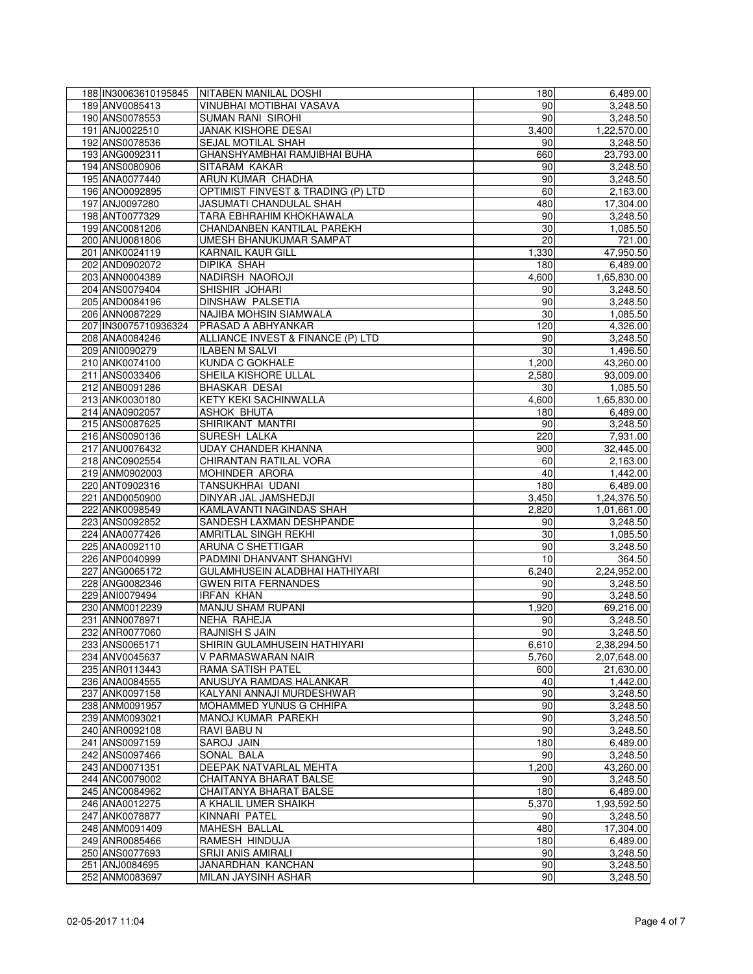| 188 IN30063610195845             | NITABEN MANILAL DOSHI                                | 180       | 6,489.00             |
|----------------------------------|------------------------------------------------------|-----------|----------------------|
| 189 ANV0085413                   | VINUBHAI MOTIBHAI VASAVA                             | 90        | 3,248.50             |
| 190 ANS0078553                   | <b>SUMAN RANI SIROHI</b>                             | 90        | 3,248.50             |
| 191 ANJ0022510                   | JANAK KISHORE DESAI                                  | 3,400     | 1,22,570.00          |
| 192 ANS0078536                   | <b>SEJAL MOTILAL SHAH</b>                            | 90        | 3,248.50             |
| 193 ANG0092311                   | GHANSHYAMBHAI RAMJIBHAI BUHA                         | 660       | 23,793.00            |
| 194 ANS0080906                   | SITARAM KAKAR                                        | 90        | 3,248.50             |
| 195 ANA0077440                   | <b>ARUN KUMAR CHADHA</b>                             | 90        | 3,248.50             |
| 196 ANO0092895                   | OPTIMIST FINVEST & TRADING (P) LTD                   | 60        | 2,163.00             |
| 197 ANJ0097280                   | JASUMATI CHANDULAL SHAH                              | 480       | 17,304.00            |
| 198 ANT0077329                   | TARA EBHRAHIM KHOKHAWALA                             | 90        | 3,248.50             |
| 199 ANC0081206                   | CHANDANBEN KANTILAL PAREKH                           | 30        | 1,085.50             |
| 200 ANU0081806                   | UMESH BHANUKUMAR SAMPAT                              | 20        | 721.00               |
| 201 ANK0024119                   | <b>KARNAIL KAUR GILL</b>                             | 1,330     | 47,950.50            |
| 202 AND0902072                   | <b>DIPIKA SHAH</b>                                   | 180       | 6,489.00             |
| 203 ANN0004389                   | NADIRSH NAOROJI                                      | 4,600     | 1,65,830.00          |
| 204 ANS0079404                   | SHISHIR JOHARI                                       | 90        | 3,248.50             |
| 205 AND0084196                   | DINSHAW PALSETIA                                     | 90        | 3,248.50             |
| 206 ANN0087229                   | NAJIBA MOHSIN SIAMWALA                               | 30        | 1,085.50             |
| 207 IN30075710936324             | PRASAD A ABHYANKAR                                   | 120       | 4,326.00             |
| 208 ANA0084246                   | ALLIANCE INVEST & FINANCE (P) LTD                    | 90        | 3,248.50             |
| 209 ANI0090279                   | <b>ILABEN M SALVI</b>                                | 30        | 1,496.50             |
| 210 ANK0074100                   | KUNDA C GOKHALE                                      | 1,200     | 43,260.00            |
| 211 ANS0033406                   | SHEILA KISHORE ULLAL                                 | 2,580     | 93,009.00            |
| 212 ANB0091286                   | <b>BHASKAR DESAI</b>                                 | 30        | 1,085.50             |
| 213 ANK0030180                   | KETY KEKI SACHINWALLA                                | 4,600     | 1,65,830.00          |
| 214 ANA0902057                   | <b>ASHOK BHUTA</b>                                   | 180       | 6,489.00             |
| 215 ANS0087625                   | SHIRIKANT MANTRI                                     | 90        | 3,248.50             |
| 216 ANS0090136                   | <b>SURESH LALKA</b>                                  | 220       | 7,931.00             |
| 217 ANU0076432                   | <b>UDAY CHANDER KHANNA</b>                           | 900       | 32,445.00            |
| 218 ANC0902554                   | CHIRANTAN RATILAL VORA                               | 60        | 2,163.00             |
| 219 ANM0902003                   | MOHINDER ARORA                                       | 40        | 1,442.00             |
| 220 ANT0902316                   | <b>TANSUKHRAI UDANI</b>                              | 180       | 6,489.00             |
| 221 AND0050900                   | DINYAR JAL JAMSHEDJI                                 | 3,450     | 1,24,376.50          |
| 222 ANK0098549                   | KAMLAVANTI NAGINDAS SHAH                             | 2,820     | 1,01,661.00          |
| 223 ANS0092852                   | SANDESH LAXMAN DESHPANDE                             | 90        | 3,248.50             |
| 224 ANA0077426                   | <b>AMRITLAL SINGH REKHI</b>                          | 30        | 1,085.50             |
| 225 ANA0092110                   | ARUNA C SHETTIGAR                                    | 90        | 3,248.50             |
| 226 ANP0040999                   | PADMINI DHANVANT SHANGHVI                            | 10        | 364.50               |
| 227 ANG0065172                   | GULAMHUSEIN ALADBHAI HATHIYARI                       | 6,240     | 2,24,952.00          |
| 228 ANG0082346                   | <b>GWEN RITA FERNANDES</b>                           | 90        | 3,248.50             |
| 229 ANI0079494                   | <b>IRFAN KHAN</b>                                    | 90        | 3,248.50             |
| 230 ANM0012239                   | <b>MANJU SHAM RUPANI</b>                             | 1,920     | 69,216.00            |
| 231 ANN0078971                   | NEHA RAHEJA                                          | 90        | 3,248.50             |
| 232 ANR0077060                   | RAJNISH S JAIN                                       | 90        | 3,248.50             |
| 233 ANS0065171                   | SHIRIN GULAMHUSEIN HATHIYARI                         | 6,610     | 2,38,294.50          |
| 234 ANV0045637                   | V PARMASWARAN NAIR                                   | 5,760     | 2,07,648.00          |
| 235 ANR0113443                   | RAMA SATISH PATEL                                    | 600       | 21,630.00            |
| 236 ANA0084555                   | ANUSUYA RAMDAS HALANKAR<br>KALYANI ANNAJI MURDESHWAR | 40        | 1,442.00             |
| 237 ANK0097158                   |                                                      | 90        | 3,248.50             |
| 238 ANM0091957<br>239 ANM0093021 | MOHAMMED YUNUS G CHHIPA<br><b>MANOJ KUMAR PAREKH</b> | 90        | 3,248.50             |
|                                  | <b>RAVI BABU N</b>                                   | 90        | 3,248.50             |
| 240 ANR0092108<br>241 ANS0097159 | SAROJ JAIN                                           | 90<br>180 | 3,248.50<br>6,489.00 |
| 242 ANS0097466                   | SONAL BALA                                           | 90        | 3,248.50             |
| 243 AND0071351                   | DEEPAK NATVARLAL MEHTA                               | 1,200     | 43,260.00            |
| 244 ANC0079002                   | CHAITANYA BHARAT BALSE                               | 90        | 3,248.50             |
| 245 ANC0084962                   | CHAITANYA BHARAT BALSE                               | 180       | 6,489.00             |
| 246 ANA0012275                   | A KHALIL UMER SHAIKH                                 | 5,370     | 1,93,592.50          |
| 247 ANK0078877                   | KINNARI PATEL                                        | 90        | 3,248.50             |
| 248 ANM0091409                   | MAHESH BALLAL                                        | 480       | 17,304.00            |
| 249 ANR0085466                   | RAMESH HINDUJA                                       | 180       | 6,489.00             |
| 250 ANS0077693                   | SRIJI ANIS AMIRALI                                   | 90        | 3,248.50             |
| 251 ANJ0084695                   | JANARDHAN KANCHAN                                    | 90        | 3,248.50             |
| 252 ANM0083697                   | MILAN JAYSINH ASHAR                                  | 90        | 3,248.50             |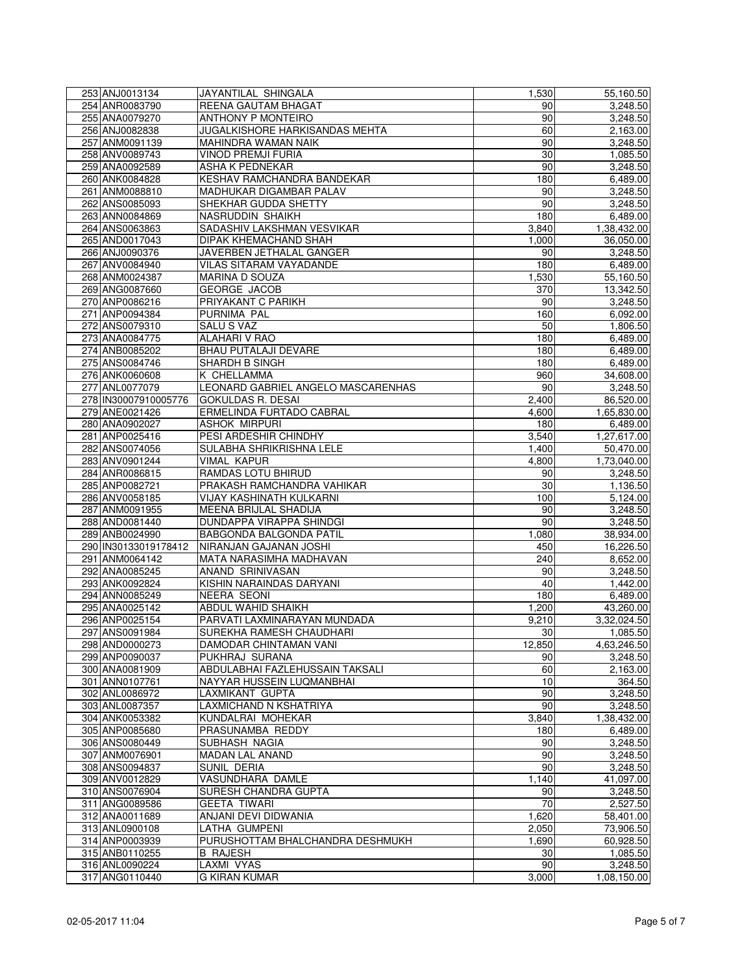| 253 ANJ0013134                   | JAYANTILAL SHINGALA                      | 1,530        | 55,160.50   |
|----------------------------------|------------------------------------------|--------------|-------------|
| 254 ANR0083790                   | REENA GAUTAM BHAGAT                      | 90           | 3.248.50    |
| 255 ANA0079270                   | ANTHONY P MONTEIRO                       | 90           | 3,248.50    |
| 256 ANJ0082838                   | JUGALKISHORE HARKISANDAS MEHTA           | 60           | 2,163.00    |
| 257 ANM0091139                   | MAHINDRA WAMAN NAIK                      | 90           | 3,248.50    |
| 258 ANV0089743                   | <b>VINOD PREMJI FURIA</b>                | 30           | 1,085.50    |
| 259 ANA0092589                   | <b>ASHA K PEDNEKAR</b>                   | 90           | 3,248.50    |
| 260 ANK0084828                   | KESHAV RAMCHANDRA BANDEKAR               | 180          | 6,489.00    |
| 261 ANM0088810                   | MADHUKAR DIGAMBAR PALAV                  | 90           | 3,248.50    |
| 262 ANS0085093                   | SHEKHAR GUDDA SHETTY                     | 90           | 3,248.50    |
| 263 ANN0084869                   | NASRUDDIN SHAIKH                         | 180          | 6,489.00    |
| 264 ANS0063863                   | SADASHIV LAKSHMAN VESVIKAR               | 3,840        | 1,38,432.00 |
| 265 AND0017043                   | DIPAK KHEMACHAND SHAH                    | 1,000        | 36,050.00   |
| 266 ANJ0090376                   | JAVERBEN JETHALAL GANGER                 | 90           | 3,248.50    |
| 267 ANV0084940                   | VILAS SITARAM VAYADANDE                  | 180          | 6,489.00    |
| 268 ANM0024387                   | MARINA D SOUZA                           | 1,530        | 55,160.50   |
| 269 ANG0087660                   | <b>GEORGE JACOB</b>                      | 370          | 13,342.50   |
| 270 ANP0086216                   | PRIYAKANT C PARIKH                       | 90           |             |
| 271 ANP0094384                   | PURNIMA PAL                              | 160          | 3,248.50    |
|                                  |                                          |              | 6,092.00    |
| 272 ANS0079310                   | <b>SALU S VAZ</b>                        | 50           | 1,806.50    |
| 273 ANA0084775                   | <b>ALAHARI V RAO</b>                     | 180          | 6,489.00    |
| 274 ANB0085202                   | <b>BHAU PUTALAJI DEVARE</b>              | 180          | 6,489.00    |
| 275 ANS0084746                   | SHARDH B SINGH                           | 180          | 6,489.00    |
| 276 ANK0060608                   | K CHELLAMMA                              | 960          | 34,608.00   |
| 277 ANL0077079                   | LEONARD GABRIEL ANGELO MASCARENHAS       | 90           | 3,248.50    |
| 278 IN30007910005776             | GOKULDAS R. DESAI                        | 2,400        | 86,520.00   |
| 279 ANE0021426                   | ERMELINDA FURTADO CABRAL                 | 4,600        | 1,65,830.00 |
| 280 ANA0902027                   | <b>ASHOK MIRPURI</b>                     | 180          | 6,489.00    |
| 281 ANP0025416                   | PESI ARDESHIR CHINDHY                    | 3,540        | 1,27,617.00 |
| 282 ANS0074056                   | SULABHA SHRIKRISHNA LELE                 | 1,400        | 50,470.00   |
| 283 ANV0901244                   | <b>VIMAL KAPUR</b>                       | 4,800        | 1,73,040.00 |
| 284 ANR0086815                   | RAMDAS LOTU BHIRUD                       | 90           | 3,248.50    |
| 285 ANP0082721                   | PRAKASH RAMCHANDRA VAHIKAR               | 30           | 1,136.50    |
| 286 ANV0058185                   | <b>VIJAY KASHINATH KULKARNI</b>          | 100          | 5,124.00    |
| 287 ANM0091955                   | MEENA BRIJLAL SHADIJA                    | 90           | 3,248.50    |
| 288 AND0081440                   | DUNDAPPA VIRAPPA SHINDGI                 | 90           | 3,248.50    |
| 289 ANB0024990                   | BABGONDA BALGONDA PATIL                  | 1,080        | 38,934.00   |
| 290 IN30133019178412             | NIRANJAN GAJANAN JOSHI                   | 450          | 16,226.50   |
| 291 ANM0064142                   | MATA NARASIMHA MADHAVAN                  | 240          | 8,652.00    |
| 292 ANA0085245                   | <b>ANAND SRINIVASAN</b>                  | 90           | 3,248.50    |
| 293 ANK0092824                   | KISHIN NARAINDAS DARYANI                 | 40           | 1,442.00    |
| 294 ANN0085249                   | <b>NEERA SEONI</b>                       | 180          | 6,489.00    |
| 295 ANA0025142                   | <b>ABDUL WAHID SHAIKH</b>                | 1,200        | 43,260.00   |
| 296 ANP0025154                   | PARVATI LAXMINARAYAN MUNDADA             | 9,210        | 3,32,024.50 |
| 297 ANS0091984                   | SUREKHA RAMESH CHAUDHARI                 | 30           | 1,085.50    |
|                                  |                                          |              |             |
| 298 AND0000273<br>299 ANP0090037 | DAMODAR CHINTAMAN VANI<br>PUKHRAJ SURANA | 12,850<br>90 | 4,63,246.50 |
|                                  |                                          |              | 3,248.50    |
| 300 ANA0081909<br>301 ANN0107761 | ABDULABHAI FAZLEHUSSAIN TAKSALI          | 60           | 2,163.00    |
|                                  | NAYYAR HUSSEIN LUQMANBHAI                | 10           | 364.50      |
| 302 ANL0086972                   | LAXMIKANT GUPTA                          | 90           | 3,248.50    |
| 303 ANL0087357                   | LAXMICHAND N KSHATRIYA                   | 90           | 3,248.50    |
| 304 ANK0053382                   | KUNDALRAI MOHEKAR                        | 3,840        | 1,38,432.00 |
| 305 ANP0085680                   | PRASUNAMBA REDDY                         | 180          | 6,489.00    |
| 306 ANS0080449                   | SUBHASH NAGIA                            | 90           | 3,248.50    |
| 307 ANM0076901                   | <b>MADAN LAL ANAND</b>                   | 90           | 3,248.50    |
| 308 ANS0094837                   | SUNIL DERIA                              | 90           | 3,248.50    |
| 309 ANV0012829                   | VASUNDHARA DAMLE                         | 1,140        | 41,097.00   |
| 310 ANS0076904                   | SURESH CHANDRA GUPTA                     | 90           | 3,248.50    |
| 311 ANG0089586                   | <b>GEETA TIWARI</b>                      | 70           | 2,527.50    |
| 312 ANA0011689                   | ANJANI DEVI DIDWANIA                     | 1,620        | 58,401.00   |
| 313 ANL0900108                   | LATHA GUMPENI                            | 2,050        | 73,906.50   |
| 314 ANP0003939                   | PURUSHOTTAM BHALCHANDRA DESHMUKH         | 1,690        | 60,928.50   |
| 315 ANB0110255                   | <b>B RAJESH</b>                          | 30           | 1,085.50    |
| 316 ANL0090224                   | <b>LAXMI VYAS</b>                        | 90           | 3,248.50    |
| 317 ANG0110440                   | <b>G KIRAN KUMAR</b>                     | 3,000        | 1,08,150.00 |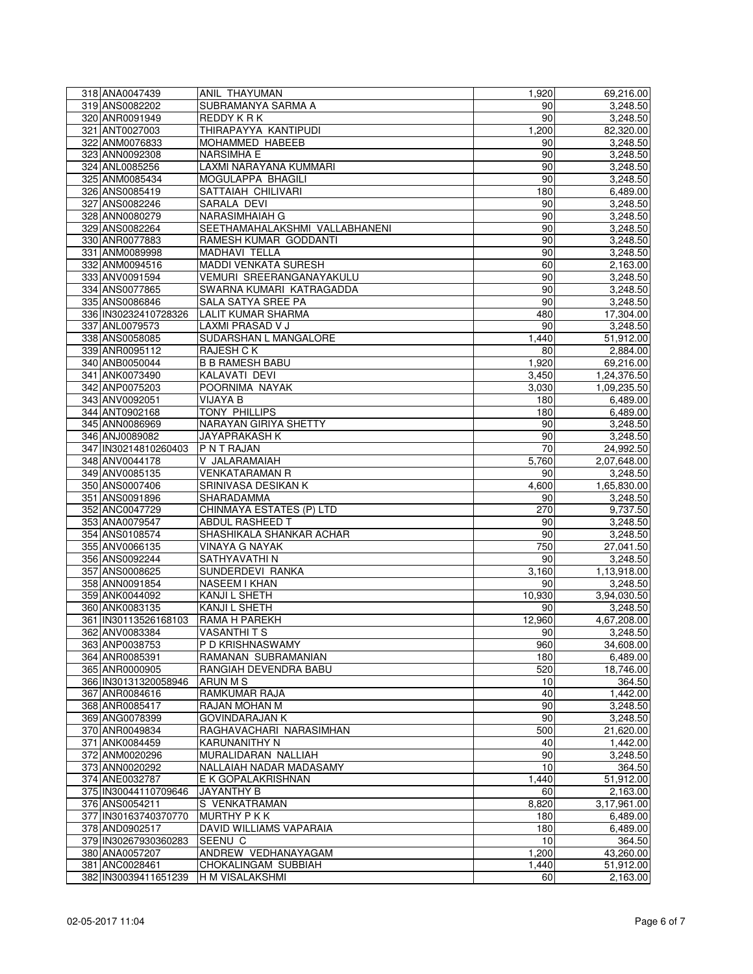| 318 ANA0047439                         | ANIL THAYUMAN                                 | 1,920           | 69,216.00             |
|----------------------------------------|-----------------------------------------------|-----------------|-----------------------|
| 319 ANS0082202                         | SUBRAMANYA SARMA A                            | 90              | 3,248.50              |
| 320 ANR0091949                         | REDDY K R K                                   | 90              | 3,248.50              |
| 321 ANT0027003                         | THIRAPAYYA KANTIPUDI                          | 1,200           | 82,320.00             |
| 322 ANM0076833                         | MOHAMMED HABEEB                               | 90              | 3,248.50              |
| 323 ANN0092308                         | <b>NARSIMHA E</b>                             | 90              | 3,248.50              |
| 324 ANL0085256                         | LAXMI NARAYANA KUMMARI                        | 90              | 3,248.50              |
| 325 ANM0085434                         | MOGULAPPA BHAGILI                             | 90              | 3,248.50              |
| 326 ANS0085419                         | SATTAIAH CHILIVARI                            | 180             | 6,489.00              |
| 327 ANS0082246                         | SARALA DEVI                                   | 90              | 3,248.50              |
| 328 ANN0080279                         | <b>NARASIMHAIAH G</b>                         | 90              | 3,248.50              |
| 329 ANS0082264                         | SEETHAMAHALAKSHMI VALLABHANENI                | 90              | 3,248.50              |
| 330 ANR0077883                         | RAMESH KUMAR GODDANTI                         | 90              | 3,248.50              |
| 331 ANM0089998                         | MADHAVI TELLA                                 | 90              | 3,248.50              |
| 332 ANM0094516                         | MADDI VENKATA SURESH                          | 60              | 2,163.00              |
| 333 ANV0091594                         | VEMURI SREERANGANAYAKULU                      | 90              | 3,248.50              |
| 334 ANS0077865                         | SWARNA KUMARI KATRAGADDA                      | 90              | 3,248.50              |
| 335 ANS0086846                         | SALA SATYA SREE PA                            | 90              | 3,248.50<br>17,304.00 |
| 336 IN30232410728326<br>337 ANL0079573 | <b>LALIT KUMAR SHARMA</b><br>LAXMI PRASAD V J | 480             |                       |
|                                        | SUDARSHAN L MANGALORE                         | 90<br>1,440     | 3,248.50              |
| 338 ANS0058085<br>339 ANR0095112       | <b>RAJESH CK</b>                              | 80              | 51,912.00<br>2,884.00 |
| 340 ANB0050044                         | <b>B B RAMESH BABU</b>                        | 1,920           | 69,216.00             |
| 341 ANK0073490                         | KALAVATI DEVI                                 | 3,450           | 1,24,376.50           |
| 342 ANP0075203                         | POORNIMA NAYAK                                | 3,030           | 1,09,235.50           |
| 343 ANV0092051                         | <b>VIJAYA B</b>                               | 180             | 6,489.00              |
| 344 ANT0902168                         | <b>TONY PHILLIPS</b>                          | 180             | 6,489.00              |
| 345 ANN0086969                         | NARAYAN GIRIYA SHETTY                         | 90              | 3,248.50              |
| 346 ANJ0089082                         | JAYAPRAKASH K                                 | 90              | 3,248.50              |
| 347 IN30214810260403                   | P N T RAJAN                                   | 70              | 24,992.50             |
| 348 ANV0044178                         | V JALARAMAIAH                                 | 5,760           | 2,07,648.00           |
| 349 ANV0085135                         | <b>VENKATARAMAN R</b>                         | 90              | 3,248.50              |
| 350 ANS0007406                         | SRINIVASA DESIKAN K                           | 4,600           | 1,65,830.00           |
| 351 ANS0091896                         | SHARADAMMA                                    | 90              | 3,248.50              |
| 352 ANC0047729                         | CHINMAYA ESTATES (P) LTD                      | 270             | 9,737.50              |
| 353 ANA0079547                         | <b>ABDUL RASHEED T</b>                        | 90              | 3,248.50              |
| 354 ANS0108574                         | SHASHIKALA SHANKAR ACHAR                      | 90              | 3,248.50              |
| 355 ANV0066135                         | VINAYA G NAYAK                                | 750             | 27,041.50             |
| 356 ANS0092244                         | SATHYAVATHI N                                 | 90              | 3,248.50              |
| 357 ANS0008625                         | SUNDERDEVI RANKA                              | 3,160           | 1,13,918.00           |
| 358 ANN0091854                         | NASEEM I KHAN                                 | 90              | 3,248.50              |
| 359 ANK0044092                         | KANJI L SHETH                                 | 10,930          | 3,94,030.50           |
| 360 ANK0083135                         | <b>KANJI L SHETH</b>                          | 90              | 3,248.50              |
| 361 IN30113526168103                   | RAMA H PAREKH                                 | 12,960          | 4,67,208.00           |
| 362 ANV0083384                         | <b>VASANTHITS</b>                             | 90 <sub>l</sub> | 3,248.50              |
| 363 ANP0038753                         | P D KRISHNASWAMY                              | 960             | 34,608.00             |
| 364 ANR0085391                         | RAMANAN SUBRAMANIAN                           | 180             | 6,489.00              |
| 365 ANR0000905                         | RANGIAH DEVENDRA BABU                         | 520             | 18,746.00             |
| 366 IN30131320058946                   | <b>ARUN M S</b>                               | 10              | 364.50                |
| 367 ANR0084616                         | RAMKUMAR RAJA                                 | 40              | 1,442.00              |
| 368 ANR0085417                         | RAJAN MOHAN M                                 | 90              | 3,248.50              |
| 369 ANG0078399                         | <b>GOVINDARAJAN K</b>                         | 90              | 3,248.50              |
| 370 ANR0049834                         | RAGHAVACHARI NARASIMHAN                       | 500             | 21,620.00             |
| 371 ANK0084459                         | KARUNANITHY N                                 | 40              | 1,442.00              |
| 372 ANM0020296                         | MURALIDARAN NALLIAH                           | 90              | 3,248.50              |
| 373 ANN0020292                         | NALLAIAH NADAR MADASAMY                       | 10              | 364.50                |
| 374 ANE0032787                         | E K GOPALAKRISHNAN                            | 1,440           | 51,912.00             |
| 375 IN30044110709646                   | JAYANTHY B                                    | 60              | 2,163.00              |
| 376 ANS0054211                         | S VENKATRAMAN                                 | 8,820           | 3,17,961.00           |
| 377 IN30163740370770                   | <b>MURTHY PKK</b>                             | 180             | 6,489.00              |
| 378 AND0902517                         | DAVID WILLIAMS VAPARAIA                       | 180             | 6,489.00              |
| 379 IN30267930360283                   | SEENU C<br>ANDREW VEDHANAYAGAM                | 10              | 364.50                |
| 380 ANA0057207                         |                                               | 1,200           | 43,260.00             |
| 381 ANC0028461<br>382 IN30039411651239 | CHOKALINGAM SUBBIAH<br>H M VISALAKSHMI        | 1,440           | 51,912.00             |
|                                        |                                               | 60              | 2,163.00              |